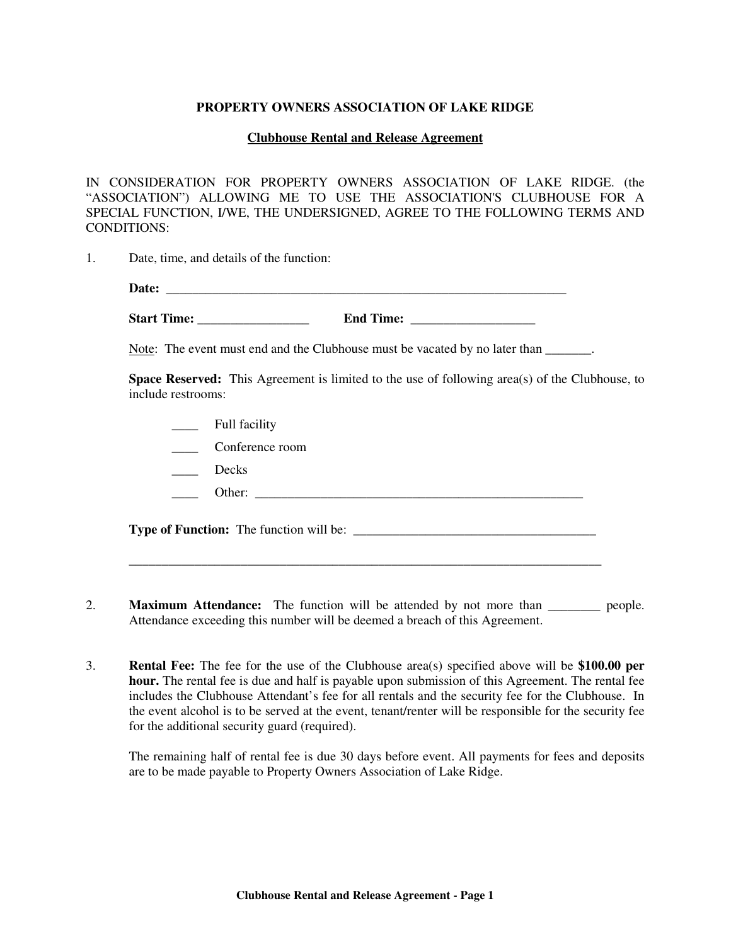## **PROPERTY OWNERS ASSOCIATION OF LAKE RIDGE**

## **Clubhouse Rental and Release Agreement**

IN CONSIDERATION FOR PROPERTY OWNERS ASSOCIATION OF LAKE RIDGE. (the "ASSOCIATION") ALLOWING ME TO USE THE ASSOCIATION'S CLUBHOUSE FOR A SPECIAL FUNCTION, I/WE, THE UNDERSIGNED, AGREE TO THE FOLLOWING TERMS AND CONDITIONS:

1. Date, time, and details of the function:

| __ |  |  |  |
|----|--|--|--|
|    |  |  |  |

**Start Time: \_\_\_\_\_\_\_\_\_\_\_\_\_\_\_\_\_ End Time:** \_\_\_\_\_\_\_\_\_\_\_\_\_\_\_\_\_\_\_

Note: The event must end and the Clubhouse must be vacated by no later than  $\qquad \qquad$ .

**Space Reserved:** This Agreement is limited to the use of following area(s) of the Clubhouse, to include restrooms:

- \_\_\_\_ Full facility
- \_\_\_\_ Conference room
- \_\_\_\_\_\_ Decks
- \_\_\_\_ Other: \_\_\_\_\_\_\_\_\_\_\_\_\_\_\_\_\_\_\_\_\_\_\_\_\_\_\_\_\_\_\_\_\_\_\_\_\_\_\_\_\_\_\_\_\_\_\_\_\_\_

**Type of Function:** The function will be: \_\_\_\_\_\_\_\_\_\_\_\_\_\_\_\_\_\_\_\_\_\_\_\_\_\_\_\_\_\_\_\_\_\_\_\_\_

\_\_\_\_\_\_\_\_\_\_\_\_\_\_\_\_\_\_\_\_\_\_\_\_\_\_\_\_\_\_\_\_\_\_\_\_\_\_\_\_\_\_\_\_\_\_\_\_\_\_\_\_\_\_\_\_\_\_\_\_\_\_\_\_\_\_\_\_\_\_\_\_

- 2. **Maximum Attendance:** The function will be attended by not more than **people**. Attendance exceeding this number will be deemed a breach of this Agreement.
- 3. **Rental Fee:** The fee for the use of the Clubhouse area(s) specified above will be **\$100.00 per hour.** The rental fee is due and half is payable upon submission of this Agreement. The rental fee includes the Clubhouse Attendant's fee for all rentals and the security fee for the Clubhouse. In the event alcohol is to be served at the event, tenant/renter will be responsible for the security fee for the additional security guard (required).

The remaining half of rental fee is due 30 days before event. All payments for fees and deposits are to be made payable to Property Owners Association of Lake Ridge.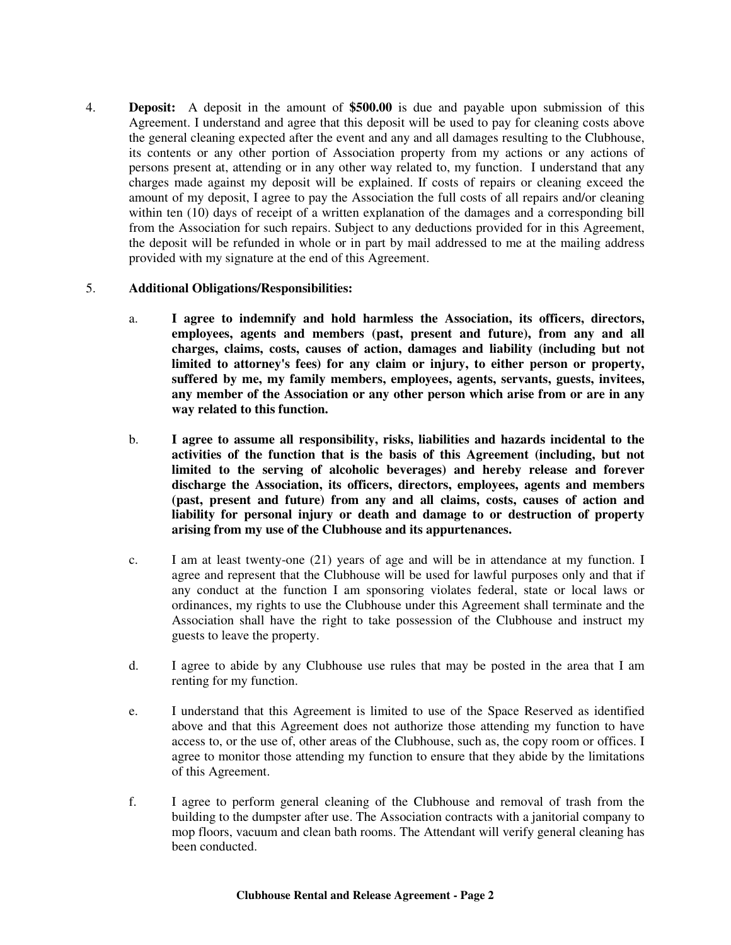4. **Deposit:** A deposit in the amount of **\$500.00** is due and payable upon submission of this Agreement. I understand and agree that this deposit will be used to pay for cleaning costs above the general cleaning expected after the event and any and all damages resulting to the Clubhouse, its contents or any other portion of Association property from my actions or any actions of persons present at, attending or in any other way related to, my function. I understand that any charges made against my deposit will be explained. If costs of repairs or cleaning exceed the amount of my deposit, I agree to pay the Association the full costs of all repairs and/or cleaning within ten (10) days of receipt of a written explanation of the damages and a corresponding bill from the Association for such repairs. Subject to any deductions provided for in this Agreement, the deposit will be refunded in whole or in part by mail addressed to me at the mailing address provided with my signature at the end of this Agreement.

## 5. **Additional Obligations/Responsibilities:**

- a. **I agree to indemnify and hold harmless the Association, its officers, directors, employees, agents and members (past, present and future), from any and all charges, claims, costs, causes of action, damages and liability (including but not limited to attorney's fees) for any claim or injury, to either person or property, suffered by me, my family members, employees, agents, servants, guests, invitees, any member of the Association or any other person which arise from or are in any way related to this function.**
- b. **I agree to assume all responsibility, risks, liabilities and hazards incidental to the activities of the function that is the basis of this Agreement (including, but not limited to the serving of alcoholic beverages) and hereby release and forever discharge the Association, its officers, directors, employees, agents and members (past, present and future) from any and all claims, costs, causes of action and liability for personal injury or death and damage to or destruction of property arising from my use of the Clubhouse and its appurtenances.**
- c. I am at least twenty-one (21) years of age and will be in attendance at my function. I agree and represent that the Clubhouse will be used for lawful purposes only and that if any conduct at the function I am sponsoring violates federal, state or local laws or ordinances, my rights to use the Clubhouse under this Agreement shall terminate and the Association shall have the right to take possession of the Clubhouse and instruct my guests to leave the property.
- d. I agree to abide by any Clubhouse use rules that may be posted in the area that I am renting for my function.
- e. I understand that this Agreement is limited to use of the Space Reserved as identified above and that this Agreement does not authorize those attending my function to have access to, or the use of, other areas of the Clubhouse, such as, the copy room or offices. I agree to monitor those attending my function to ensure that they abide by the limitations of this Agreement.
- f. I agree to perform general cleaning of the Clubhouse and removal of trash from the building to the dumpster after use. The Association contracts with a janitorial company to mop floors, vacuum and clean bath rooms. The Attendant will verify general cleaning has been conducted.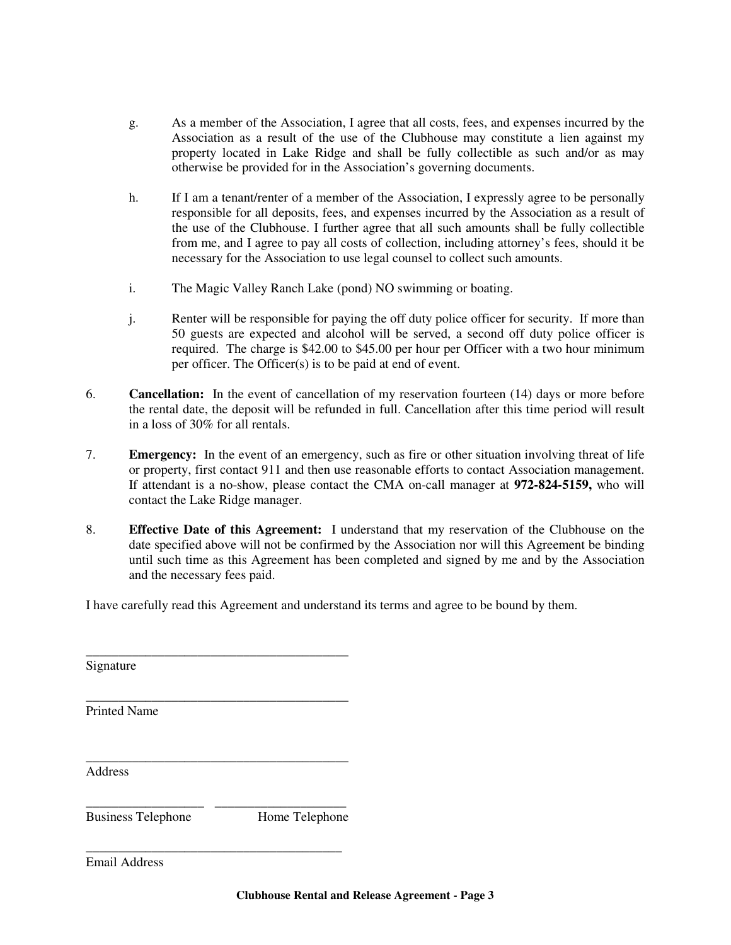- g. As a member of the Association, I agree that all costs, fees, and expenses incurred by the Association as a result of the use of the Clubhouse may constitute a lien against my property located in Lake Ridge and shall be fully collectible as such and/or as may otherwise be provided for in the Association's governing documents.
- h. If I am a tenant/renter of a member of the Association, I expressly agree to be personally responsible for all deposits, fees, and expenses incurred by the Association as a result of the use of the Clubhouse. I further agree that all such amounts shall be fully collectible from me, and I agree to pay all costs of collection, including attorney's fees, should it be necessary for the Association to use legal counsel to collect such amounts.
- i. The Magic Valley Ranch Lake (pond) NO swimming or boating.
- j. Renter will be responsible for paying the off duty police officer for security. If more than 50 guests are expected and alcohol will be served, a second off duty police officer is required. The charge is \$42.00 to \$45.00 per hour per Officer with a two hour minimum per officer. The Officer(s) is to be paid at end of event.
- 6. **Cancellation:** In the event of cancellation of my reservation fourteen (14) days or more before the rental date, the deposit will be refunded in full. Cancellation after this time period will result in a loss of 30% for all rentals.
- 7. **Emergency:** In the event of an emergency, such as fire or other situation involving threat of life or property, first contact 911 and then use reasonable efforts to contact Association management. If attendant is a no-show, please contact the CMA on-call manager at **972-824-5159,** who will contact the Lake Ridge manager.
- 8. **Effective Date of this Agreement:** I understand that my reservation of the Clubhouse on the date specified above will not be confirmed by the Association nor will this Agreement be binding until such time as this Agreement has been completed and signed by me and by the Association and the necessary fees paid.

I have carefully read this Agreement and understand its terms and agree to be bound by them.

| Signature                 |                |
|---------------------------|----------------|
| <b>Printed Name</b>       |                |
| Address                   |                |
| <b>Business Telephone</b> | Home Telephone |

Email Address